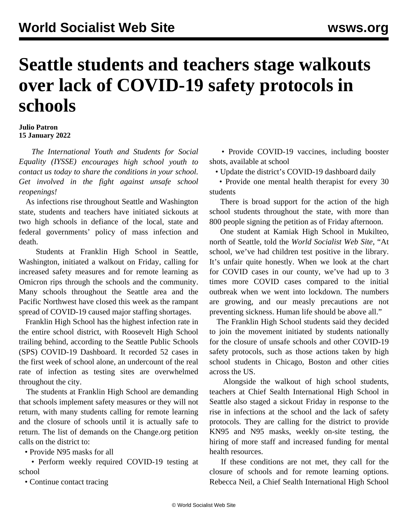## **Seattle students and teachers stage walkouts over lack of COVID-19 safety protocols in schools**

## **Julio Patron 15 January 2022**

 *The [International Youth and Students for Social](/en/special/pages/iysse/about.html) [Equality \(IYSSE\)](/en/special/pages/iysse/about.html) encourages high school youth to contact us today to share the conditions in your school. Get involved in the fight against unsafe school reopenings!*

 As infections rise throughout Seattle and Washington state, students and teachers have initiated sickouts at two high schools in defiance of the local, state and federal governments' policy of mass infection and death.

 Students at Franklin High School in Seattle, Washington, initiated a walkout on Friday, calling for increased safety measures and for remote learning as Omicron rips through the schools and the community. Many schools throughout the Seattle area and the Pacific Northwest have closed this week as the rampant spread of COVID-19 caused major staffing shortages.

 Franklin High School has the highest infection rate in the entire school district, with Roosevelt High School trailing behind, according to the Seattle Public Schools (SPS) COVID-19 Dashboard. It recorded 52 cases in the first week of school alone, an undercount of the real rate of infection as testing sites are overwhelmed throughout the city.

 The students at Franklin High School are demanding that schools implement safety measures or they will not return, with many students calling for remote learning and the closure of schools until it is actually safe to return. The list of demands on the [Change.org petition](https://chng.it/xV7hDbmjmT) calls on the district to:

• Provide N95 masks for all

 • Perform weekly required COVID-19 testing at school

• Continue contact tracing

 • Provide COVID-19 vaccines, including booster shots, available at school

• Update the district's COVID-19 dashboard daily

 • Provide one mental health therapist for every 30 students

 There is broad support for the action of the high school students throughout the state, with more than 800 people signing the petition as of Friday afternoon.

 One student at Kamiak High School in Mukilteo, north of Seattle, told the *World Socialist Web Site*, "At school, we've had children test positive in the library. It's unfair quite honestly. When we look at the chart for COVID cases in our county, we've had up to 3 times more COVID cases compared to the initial outbreak when we went into lockdown. The numbers are growing, and our measly precautions are not preventing sickness. Human life should be above all."

 The Franklin High School students said they decided to join the movement initiated by students nationally for the closure of unsafe schools and other COVID-19 safety protocols, such as those actions taken by high school students in Chicago, Boston and other cities across the US.

 Alongside the walkout of high school students, teachers at Chief Sealth International High School in Seattle also staged a sickout Friday in response to the rise in infections at the school and the lack of safety protocols. They are calling for the district to provide KN95 and N95 masks, weekly on-site testing, the hiring of more staff and increased funding for mental health resources.

 If these conditions are not met, they call for the closure of schools and for remote learning options. Rebecca Neil, a Chief Sealth International High School